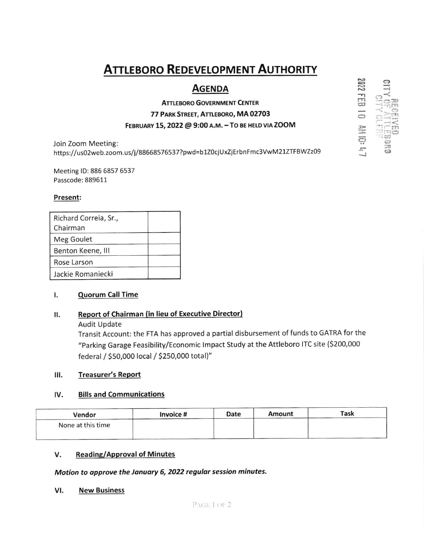# **ATTLEBORO REDEVELOPMENT AUTHORITY**

# **AGENDA**

# **ATTLEBORO GOVERNMENT CENTER** 77 PARK STREET, ATTLEBORO, MA 02703 FEBRUARY 15, 2022 @ 9:00 A.M. - TO BE HELD VIA ZOOM

Join Zoom Meeting: https://us02web.zoom.us/j/88668576537?pwd=b1Z0cjUxZjErbnFmc3VwM21ZTFBWZz09

Meeting ID: 886 6857 6537 Passcode: 889611

# Present:

| Richard Correia, Sr., |  |
|-----------------------|--|
| Chairman              |  |
| Meg Goulet            |  |
| Benton Keene, III     |  |
| Rose Larson           |  |
| Jackie Romaniecki     |  |

#### ۱. **Quorum Call Time**

#### **Report of Chairman (in lieu of Executive Director)** ΙΙ.

**Audit Update** 

Transit Account: the FTA has approved a partial disbursement of funds to GATRA for the "Parking Garage Feasibility/Economic Impact Study at the Attleboro ITC site (\$200,000 federal / \$50,000 local / \$250,000 total)"

#### Ш. **Treasurer's Report**

#### IV. **Bills and Communications**

| Vendor            | Invoice # | Date | Amount | Task |
|-------------------|-----------|------|--------|------|
| None at this time |           |      |        |      |
|                   |           |      |        |      |

#### V. **Reading/Approval of Minutes**

Motion to approve the January 6, 2022 regular session minutes.

#### VI. **New Business**